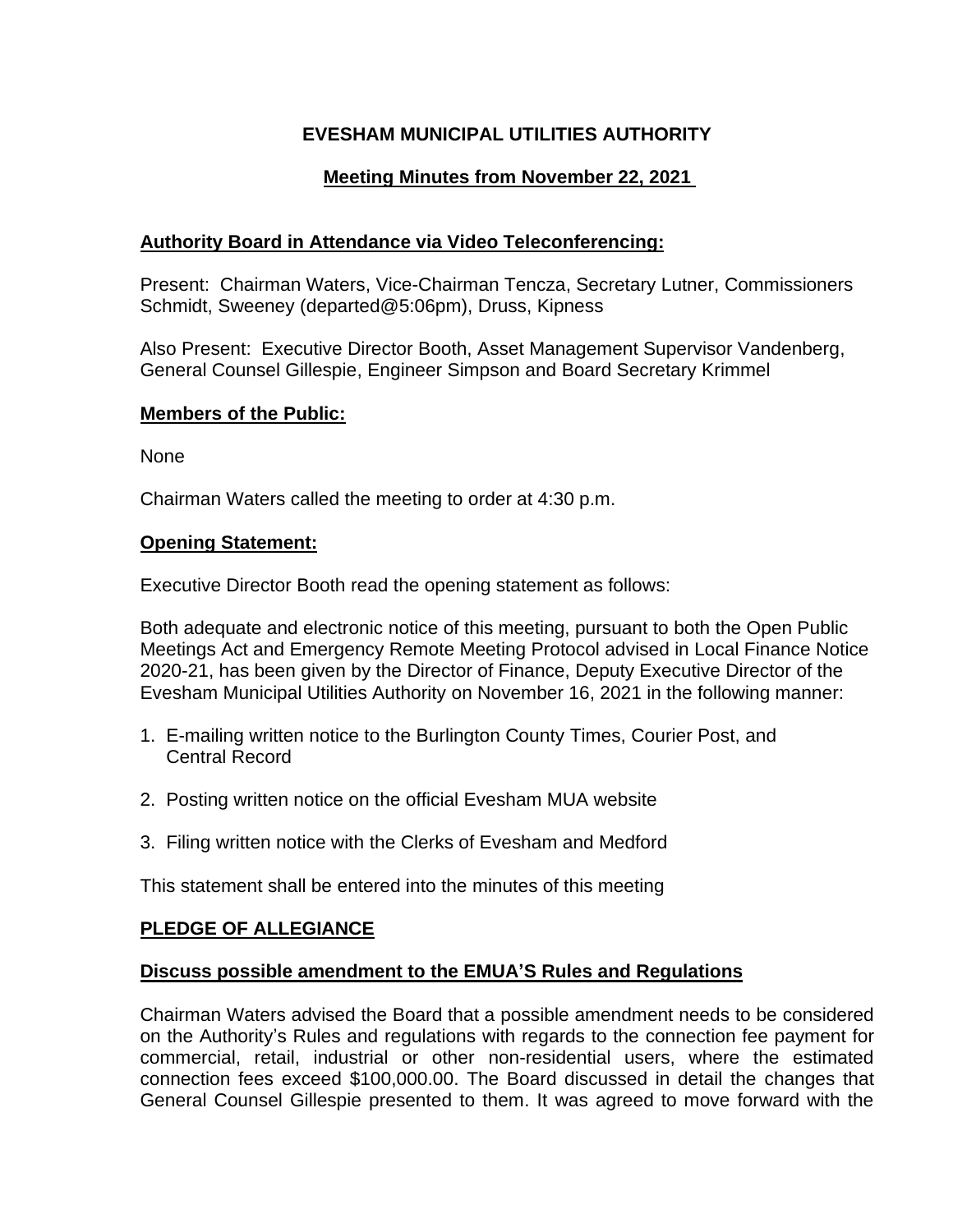# **EVESHAM MUNICIPAL UTILITIES AUTHORITY**

## **Meeting Minutes from November 22, 2021**

### **Authority Board in Attendance via Video Teleconferencing:**

Present: Chairman Waters, Vice-Chairman Tencza, Secretary Lutner, Commissioners Schmidt, Sweeney (departed@5:06pm), Druss, Kipness

Also Present: Executive Director Booth, Asset Management Supervisor Vandenberg, General Counsel Gillespie, Engineer Simpson and Board Secretary Krimmel

### **Members of the Public:**

None

Chairman Waters called the meeting to order at 4:30 p.m.

#### **Opening Statement:**

Executive Director Booth read the opening statement as follows:

Both adequate and electronic notice of this meeting, pursuant to both the Open Public Meetings Act and Emergency Remote Meeting Protocol advised in Local Finance Notice 2020-21, has been given by the Director of Finance, Deputy Executive Director of the Evesham Municipal Utilities Authority on November 16, 2021 in the following manner:

- 1. E-mailing written notice to the Burlington County Times, Courier Post, and Central Record
- 2. Posting written notice on the official Evesham MUA website
- 3. Filing written notice with the Clerks of Evesham and Medford

This statement shall be entered into the minutes of this meeting

### **PLEDGE OF ALLEGIANCE**

### **Discuss possible amendment to the EMUA'S Rules and Regulations**

Chairman Waters advised the Board that a possible amendment needs to be considered on the Authority's Rules and regulations with regards to the connection fee payment for commercial, retail, industrial or other non-residential users, where the estimated connection fees exceed \$100,000.00. The Board discussed in detail the changes that General Counsel Gillespie presented to them. It was agreed to move forward with the